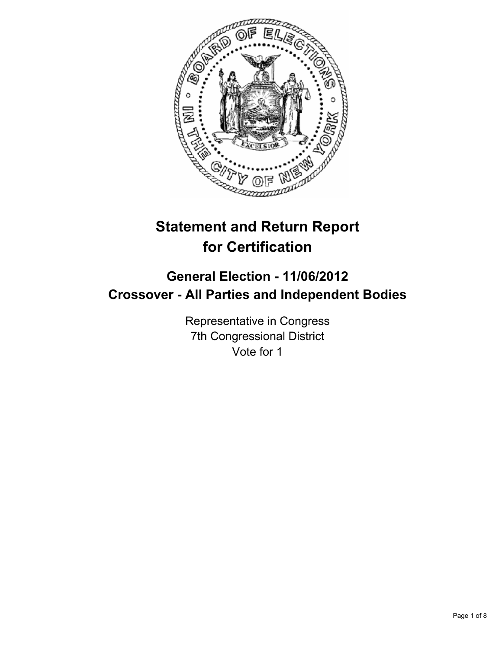

# **Statement and Return Report for Certification**

# **General Election - 11/06/2012 Crossover - All Parties and Independent Bodies**

Representative in Congress 7th Congressional District Vote for 1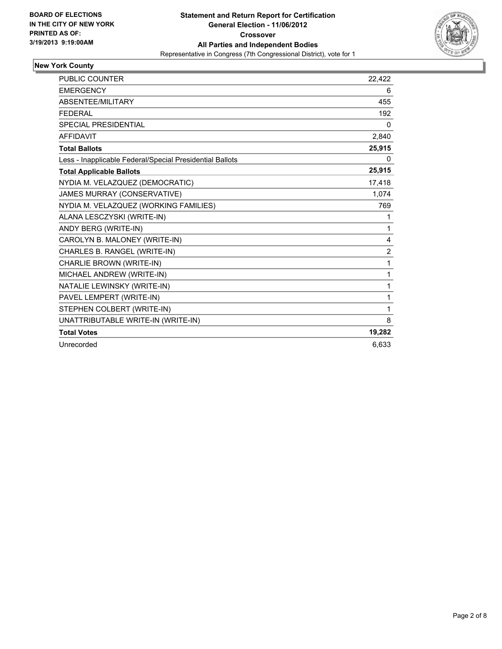

# **New York County**

| <b>PUBLIC COUNTER</b>                                    | 22,422         |
|----------------------------------------------------------|----------------|
| <b>EMERGENCY</b>                                         | 6              |
| ABSENTEE/MILITARY                                        | 455            |
| <b>FEDERAL</b>                                           | 192            |
| <b>SPECIAL PRESIDENTIAL</b>                              | $\mathbf{0}$   |
| <b>AFFIDAVIT</b>                                         | 2,840          |
| <b>Total Ballots</b>                                     | 25,915         |
| Less - Inapplicable Federal/Special Presidential Ballots | 0              |
| <b>Total Applicable Ballots</b>                          | 25,915         |
| NYDIA M. VELAZQUEZ (DEMOCRATIC)                          | 17,418         |
| JAMES MURRAY (CONSERVATIVE)                              | 1,074          |
| NYDIA M. VELAZQUEZ (WORKING FAMILIES)                    | 769            |
| ALANA LESCZYSKI (WRITE-IN)                               | 1              |
| ANDY BERG (WRITE-IN)                                     | 1              |
| CAROLYN B. MALONEY (WRITE-IN)                            | 4              |
| CHARLES B. RANGEL (WRITE-IN)                             | $\overline{2}$ |
| CHARLIE BROWN (WRITE-IN)                                 | 1              |
| MICHAEL ANDREW (WRITE-IN)                                | 1              |
| NATALIE LEWINSKY (WRITE-IN)                              | 1              |
| PAVEL LEMPERT (WRITE-IN)                                 | 1              |
| STEPHEN COLBERT (WRITE-IN)                               | 1              |
| UNATTRIBUTABLE WRITE-IN (WRITE-IN)                       | 8              |
| <b>Total Votes</b>                                       | 19,282         |
| Unrecorded                                               | 6,633          |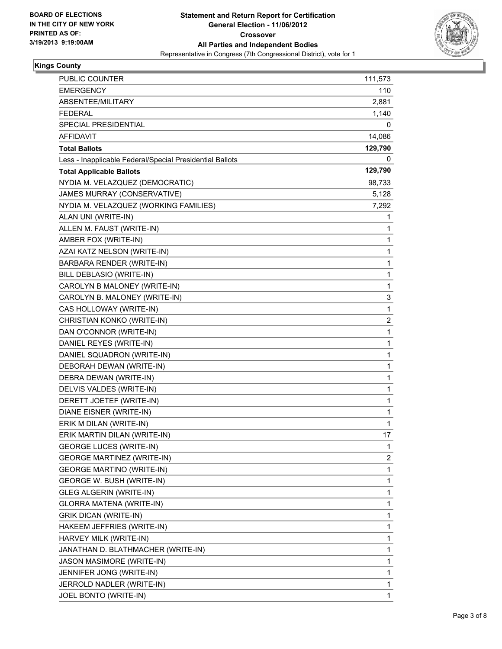

# **Kings County**

| <b>PUBLIC COUNTER</b>                                    | 111,573 |
|----------------------------------------------------------|---------|
| <b>EMERGENCY</b>                                         | 110     |
| ABSENTEE/MILITARY                                        | 2,881   |
| <b>FEDERAL</b>                                           | 1,140   |
| SPECIAL PRESIDENTIAL                                     | 0       |
| AFFIDAVIT                                                | 14,086  |
| <b>Total Ballots</b>                                     | 129,790 |
| Less - Inapplicable Federal/Special Presidential Ballots | 0       |
| <b>Total Applicable Ballots</b>                          | 129,790 |
| NYDIA M. VELAZQUEZ (DEMOCRATIC)                          | 98,733  |
| JAMES MURRAY (CONSERVATIVE)                              | 5,128   |
| NYDIA M. VELAZQUEZ (WORKING FAMILIES)                    | 7,292   |
| ALAN UNI (WRITE-IN)                                      | 1       |
| ALLEN M. FAUST (WRITE-IN)                                | 1       |
| AMBER FOX (WRITE-IN)                                     | 1       |
| AZAI KATZ NELSON (WRITE-IN)                              | 1       |
| BARBARA RENDER (WRITE-IN)                                | 1       |
| BILL DEBLASIO (WRITE-IN)                                 | 1       |
| CAROLYN B MALONEY (WRITE-IN)                             | 1       |
| CAROLYN B. MALONEY (WRITE-IN)                            | 3       |
| CAS HOLLOWAY (WRITE-IN)                                  | 1       |
| CHRISTIAN KONKO (WRITE-IN)                               | 2       |
| DAN O'CONNOR (WRITE-IN)                                  | 1       |
| DANIEL REYES (WRITE-IN)                                  | 1       |
| DANIEL SQUADRON (WRITE-IN)                               | 1       |
| DEBORAH DEWAN (WRITE-IN)                                 | 1       |
| DEBRA DEWAN (WRITE-IN)                                   | 1       |
| DELVIS VALDES (WRITE-IN)                                 | 1       |
| DERETT JOETEF (WRITE-IN)                                 | 1       |
| DIANE EISNER (WRITE-IN)                                  | 1       |
| ERIK M DILAN (WRITE-IN)                                  | 1       |
| ERIK MARTIN DILAN (WRITE-IN)                             | 17      |
| <b>GEORGE LUCES (WRITE-IN)</b>                           | 1       |
| <b>GEORGE MARTINEZ (WRITE-IN)</b>                        | 2       |
| <b>GEORGE MARTINO (WRITE-IN)</b>                         | 1       |
| GEORGE W. BUSH (WRITE-IN)                                | 1       |
| GLEG ALGERIN (WRITE-IN)                                  | 1       |
| GLORRA MATENA (WRITE-IN)                                 | 1       |
| <b>GRIK DICAN (WRITE-IN)</b>                             | 1       |
| HAKEEM JEFFRIES (WRITE-IN)                               | 1       |
| HARVEY MILK (WRITE-IN)                                   | 1       |
| JANATHAN D. BLATHMACHER (WRITE-IN)                       | 1       |
| JASON MASIMORE (WRITE-IN)                                | 1       |
| JENNIFER JONG (WRITE-IN)                                 | 1       |
| JERROLD NADLER (WRITE-IN)                                | 1       |
| JOEL BONTO (WRITE-IN)                                    | 1       |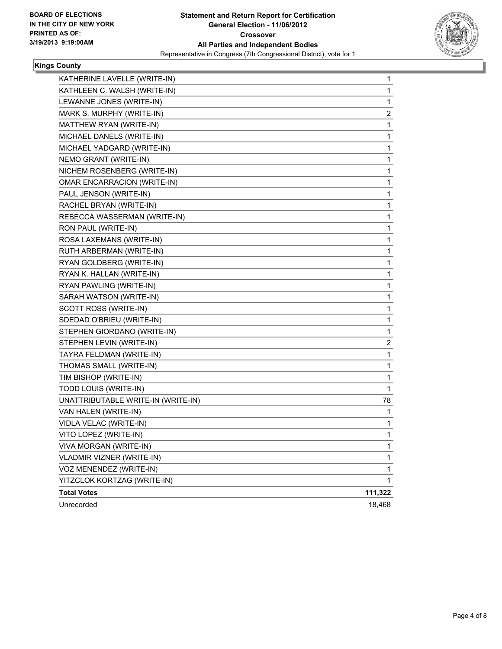

# **Kings County**

| KATHERINE LAVELLE (WRITE-IN)       | 1           |
|------------------------------------|-------------|
| KATHLEEN C. WALSH (WRITE-IN)       | 1           |
| LEWANNE JONES (WRITE-IN)           | 1           |
| MARK S. MURPHY (WRITE-IN)          | 2           |
| MATTHEW RYAN (WRITE-IN)            | 1           |
| MICHAEL DANELS (WRITE-IN)          | 1           |
| MICHAEL YADGARD (WRITE-IN)         | 1           |
| NEMO GRANT (WRITE-IN)              | 1           |
| NICHEM ROSENBERG (WRITE-IN)        | 1           |
| OMAR ENCARRACION (WRITE-IN)        | 1           |
| PAUL JENSON (WRITE-IN)             | 1           |
| RACHEL BRYAN (WRITE-IN)            | 1           |
| REBECCA WASSERMAN (WRITE-IN)       | 1           |
| RON PAUL (WRITE-IN)                | 1           |
| ROSA LAXEMANS (WRITE-IN)           | 1           |
| RUTH ARBERMAN (WRITE-IN)           | 1           |
| RYAN GOLDBERG (WRITE-IN)           | 1           |
| RYAN K. HALLAN (WRITE-IN)          | 1           |
| RYAN PAWLING (WRITE-IN)            | 1           |
| SARAH WATSON (WRITE-IN)            | 1           |
| SCOTT ROSS (WRITE-IN)              | 1           |
| SDEDAD O'BRIEU (WRITE-IN)          | 1           |
| STEPHEN GIORDANO (WRITE-IN)        | 1           |
| STEPHEN LEVIN (WRITE-IN)           | 2           |
| TAYRA FELDMAN (WRITE-IN)           | 1           |
| THOMAS SMALL (WRITE-IN)            | 1           |
| TIM BISHOP (WRITE-IN)              | 1           |
| TODD LOUIS (WRITE-IN)              | 1           |
| UNATTRIBUTABLE WRITE-IN (WRITE-IN) | 78          |
| VAN HALEN (WRITE-IN)               | 1           |
| VIDLA VELAC (WRITE-IN)             | 1           |
| VITO LOPEZ (WRITE-IN)              | 1           |
| VIVA MORGAN (WRITE-IN)             | 1           |
| VLADMIR VIZNER (WRITE-IN)          | 1           |
| VOZ MENENDEZ (WRITE-IN)            | $\mathbf 1$ |
| YITZCLOK KORTZAG (WRITE-IN)        | 1           |
| <b>Total Votes</b>                 | 111,322     |
| Unrecorded                         | 18,468      |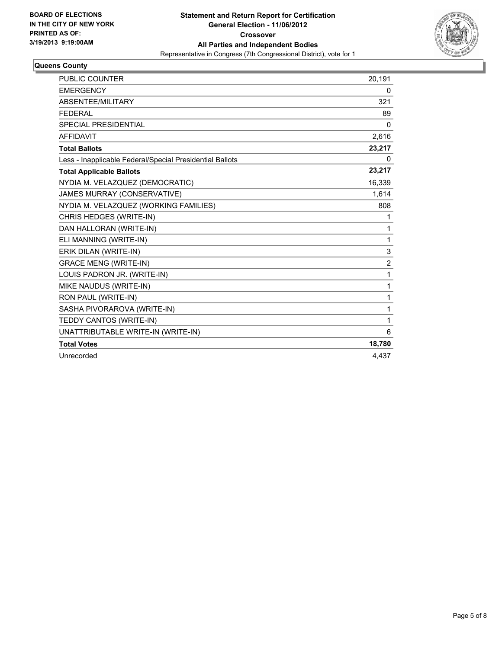

# **Queens County**

| <b>PUBLIC COUNTER</b>                                    | 20,191         |
|----------------------------------------------------------|----------------|
| <b>EMERGENCY</b>                                         | 0              |
| ABSENTEE/MILITARY                                        | 321            |
| <b>FEDERAL</b>                                           | 89             |
| <b>SPECIAL PRESIDENTIAL</b>                              | $\Omega$       |
| <b>AFFIDAVIT</b>                                         | 2,616          |
| <b>Total Ballots</b>                                     | 23,217         |
| Less - Inapplicable Federal/Special Presidential Ballots | 0              |
| <b>Total Applicable Ballots</b>                          | 23,217         |
| NYDIA M. VELAZQUEZ (DEMOCRATIC)                          | 16,339         |
| JAMES MURRAY (CONSERVATIVE)                              | 1,614          |
| NYDIA M. VELAZQUEZ (WORKING FAMILIES)                    | 808            |
| CHRIS HEDGES (WRITE-IN)                                  | 1              |
| DAN HALLORAN (WRITE-IN)                                  | 1              |
| ELI MANNING (WRITE-IN)                                   | 1              |
| ERIK DILAN (WRITE-IN)                                    | 3              |
| <b>GRACE MENG (WRITE-IN)</b>                             | $\overline{2}$ |
| LOUIS PADRON JR. (WRITE-IN)                              | 1              |
| MIKE NAUDUS (WRITE-IN)                                   | 1              |
| RON PAUL (WRITE-IN)                                      | 1              |
| SASHA PIVORAROVA (WRITE-IN)                              | 1              |
| TEDDY CANTOS (WRITE-IN)                                  | 1              |
| UNATTRIBUTABLE WRITE-IN (WRITE-IN)                       | 6              |
| <b>Total Votes</b>                                       | 18,780         |
| Unrecorded                                               | 4.437          |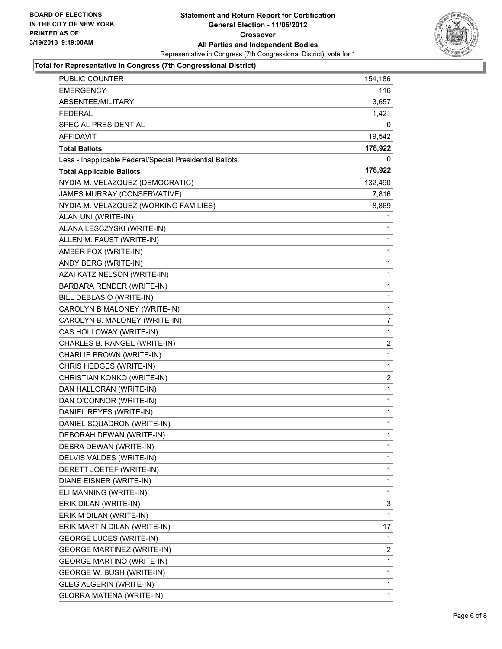

# **Total for Representative in Congress (7th Congressional District)**

| PUBLIC COUNTER                                           | 154,186        |
|----------------------------------------------------------|----------------|
| EMERGENCY                                                | 116            |
| ABSENTEE/MILITARY                                        | 3,657          |
| FEDERAL                                                  | 1,421          |
| SPECIAL PRESIDENTIAL                                     | 0              |
| <b>AFFIDAVIT</b>                                         | 19,542         |
| <b>Total Ballots</b>                                     | 178,922        |
| Less - Inapplicable Federal/Special Presidential Ballots | 0              |
| <b>Total Applicable Ballots</b>                          | 178,922        |
| NYDIA M. VELAZQUEZ (DEMOCRATIC)                          | 132,490        |
| JAMES MURRAY (CONSERVATIVE)                              | 7,816          |
| NYDIA M. VELAZQUEZ (WORKING FAMILIES)                    | 8,869          |
| ALAN UNI (WRITE-IN)                                      | 1              |
| ALANA LESCZYSKI (WRITE-IN)                               | 1              |
| ALLEN M. FAUST (WRITE-IN)                                | 1              |
| AMBER FOX (WRITE-IN)                                     | 1              |
| ANDY BERG (WRITE-IN)                                     | 1              |
| AZAI KATZ NELSON (WRITE-IN)                              | 1              |
| BARBARA RENDER (WRITE-IN)                                | 1              |
| BILL DEBLASIO (WRITE-IN)                                 | 1              |
| CAROLYN B MALONEY (WRITE-IN)                             | 1              |
| CAROLYN B. MALONEY (WRITE-IN)                            | $\overline{7}$ |
| CAS HOLLOWAY (WRITE-IN)                                  | 1              |
| CHARLES B. RANGEL (WRITE-IN)                             | 2              |
| CHARLIE BROWN (WRITE-IN)                                 | 1              |
| CHRIS HEDGES (WRITE-IN)                                  | 1              |
| CHRISTIAN KONKO (WRITE-IN)                               | $\overline{2}$ |
| DAN HALLORAN (WRITE-IN)                                  | 1              |
| DAN O'CONNOR (WRITE-IN)                                  | 1              |
| DANIEL REYES (WRITE-IN)                                  | 1              |
| DANIEL SQUADRON (WRITE-IN)                               | $\mathbf{1}$   |
| DEBORAH DEWAN (WRITE-IN)                                 | 1              |
| DEBRA DEWAN (WRITE-IN)                                   | 1              |
| DELVIS VALDES (WRITE-IN)                                 | $\mathbf{1}$   |
| DERETT JOETEF (WRITE-IN)                                 | 1              |
| DIANE EISNER (WRITE-IN)                                  | 1              |
| ELI MANNING (WRITE-IN)                                   | 1              |
| ERIK DILAN (WRITE-IN)                                    | 3              |
| ERIK M DILAN (WRITE-IN)                                  | 1              |
| ERIK MARTIN DILAN (WRITE-IN)                             | 17             |
| <b>GEORGE LUCES (WRITE-IN)</b>                           | 1              |
| <b>GEORGE MARTINEZ (WRITE-IN)</b>                        | 2              |
| GEORGE MARTINO (WRITE-IN)                                | 1              |
| GEORGE W. BUSH (WRITE-IN)                                | 1              |
| GLEG ALGERIN (WRITE-IN)                                  | 1              |
| GLORRA MATENA (WRITE-IN)                                 | 1.             |
|                                                          |                |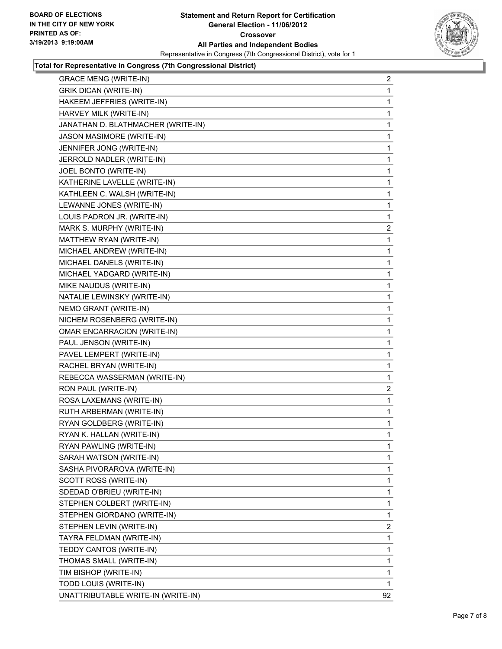

# **Total for Representative in Congress (7th Congressional District)**

| <b>GRACE MENG (WRITE-IN)</b> |                                    | 2            |
|------------------------------|------------------------------------|--------------|
| <b>GRIK DICAN (WRITE-IN)</b> |                                    | 1            |
|                              | HAKEEM JEFFRIES (WRITE-IN)         | 1            |
| HARVEY MILK (WRITE-IN)       |                                    | 1            |
|                              | JANATHAN D. BLATHMACHER (WRITE-IN) | 1            |
| JASON MASIMORE (WRITE-IN)    |                                    | 1            |
| JENNIFER JONG (WRITE-IN)     |                                    | 1            |
| JERROLD NADLER (WRITE-IN)    |                                    | 1            |
| JOEL BONTO (WRITE-IN)        |                                    | 1            |
|                              | KATHERINE LAVELLE (WRITE-IN)       | 1            |
|                              | KATHLEEN C. WALSH (WRITE-IN)       | 1            |
| LEWANNE JONES (WRITE-IN)     |                                    | 1            |
|                              | LOUIS PADRON JR. (WRITE-IN)        | 1            |
| MARK S. MURPHY (WRITE-IN)    |                                    | $\mathbf{2}$ |
| MATTHEW RYAN (WRITE-IN)      |                                    | 1            |
|                              | MICHAEL ANDREW (WRITE-IN)          | 1            |
| MICHAEL DANELS (WRITE-IN)    |                                    | 1            |
|                              | MICHAEL YADGARD (WRITE-IN)         | 1            |
| MIKE NAUDUS (WRITE-IN)       |                                    | 1            |
|                              | NATALIE LEWINSKY (WRITE-IN)        | 1            |
| NEMO GRANT (WRITE-IN)        |                                    | 1            |
|                              | NICHEM ROSENBERG (WRITE-IN)        | 1            |
|                              | <b>OMAR ENCARRACION (WRITE-IN)</b> | 1            |
| PAUL JENSON (WRITE-IN)       |                                    | 1            |
| PAVEL LEMPERT (WRITE-IN)     |                                    | 1            |
| RACHEL BRYAN (WRITE-IN)      |                                    | 1            |
|                              | REBECCA WASSERMAN (WRITE-IN)       | 1            |
| RON PAUL (WRITE-IN)          |                                    | 2            |
| ROSA LAXEMANS (WRITE-IN)     |                                    | 1            |
| RUTH ARBERMAN (WRITE-IN)     |                                    | 1            |
| RYAN GOLDBERG (WRITE-IN)     |                                    | 1            |
| RYAN K. HALLAN (WRITE-IN)    |                                    | 1            |
| RYAN PAWLING (WRITE-IN)      |                                    | 1            |
| SARAH WATSON (WRITE-IN)      |                                    | 1            |
|                              | SASHA PIVORAROVA (WRITE-IN)        | 1            |
| SCOTT ROSS (WRITE-IN)        |                                    | 1            |
| SDEDAD O'BRIEU (WRITE-IN)    |                                    | 1            |
|                              | STEPHEN COLBERT (WRITE-IN)         | 1            |
|                              | STEPHEN GIORDANO (WRITE-IN)        | 1            |
| STEPHEN LEVIN (WRITE-IN)     |                                    | 2            |
| TAYRA FELDMAN (WRITE-IN)     |                                    | 1            |
| TEDDY CANTOS (WRITE-IN)      |                                    | 1            |
| THOMAS SMALL (WRITE-IN)      |                                    | 1            |
| TIM BISHOP (WRITE-IN)        |                                    | 1            |
| TODD LOUIS (WRITE-IN)        |                                    | 1            |
|                              | UNATTRIBUTABLE WRITE-IN (WRITE-IN) | 92           |